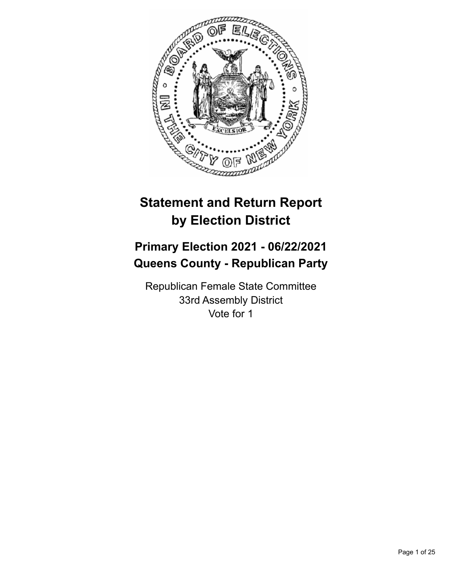

# **Statement and Return Report by Election District**

# **Primary Election 2021 - 06/22/2021 Queens County - Republican Party**

Republican Female State Committee 33rd Assembly District Vote for 1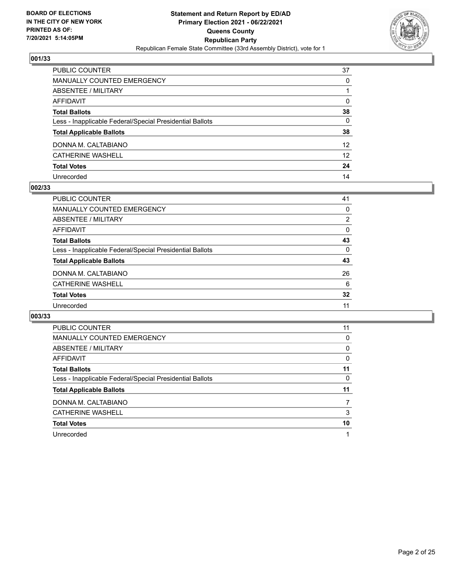

| PUBLIC COUNTER                                           | 37              |
|----------------------------------------------------------|-----------------|
| MANUALLY COUNTED EMERGENCY                               | $\Omega$        |
| ABSENTEE / MILITARY                                      |                 |
| <b>AFFIDAVIT</b>                                         | $\mathbf{0}$    |
| <b>Total Ballots</b>                                     | 38              |
| Less - Inapplicable Federal/Special Presidential Ballots | 0               |
| <b>Total Applicable Ballots</b>                          | 38              |
| DONNA M. CALTABIANO                                      | 12 <sup>2</sup> |
| <b>CATHERINE WASHELL</b>                                 | 12 <sup>2</sup> |
| <b>Total Votes</b>                                       | 24              |
| Unrecorded                                               | 14              |

#### **002/33**

| PUBLIC COUNTER                                           | 41       |
|----------------------------------------------------------|----------|
| <b>MANUALLY COUNTED EMERGENCY</b>                        | 0        |
| ABSENTEE / MILITARY                                      | 2        |
| AFFIDAVIT                                                | 0        |
| <b>Total Ballots</b>                                     | 43       |
| Less - Inapplicable Federal/Special Presidential Ballots | $\Omega$ |
| <b>Total Applicable Ballots</b>                          | 43       |
| DONNA M. CALTABIANO                                      | 26       |
| CATHERINE WASHELL                                        | 6        |
| <b>Total Votes</b>                                       | 32       |
| Unrecorded                                               | 11       |

| PUBLIC COUNTER                                           | 11 |
|----------------------------------------------------------|----|
| <b>MANUALLY COUNTED EMERGENCY</b>                        | 0  |
| ABSENTEE / MILITARY                                      | 0  |
| <b>AFFIDAVIT</b>                                         | 0  |
| <b>Total Ballots</b>                                     | 11 |
| Less - Inapplicable Federal/Special Presidential Ballots | 0  |
| <b>Total Applicable Ballots</b>                          | 11 |
| DONNA M. CALTABIANO                                      |    |
| <b>CATHERINE WASHELL</b>                                 | 3  |
|                                                          |    |
| <b>Total Votes</b>                                       | 10 |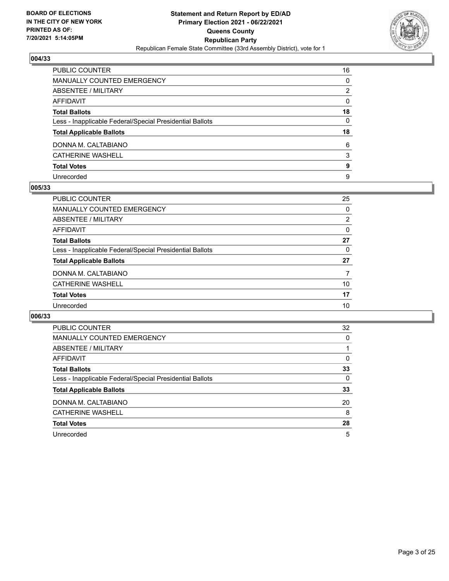

| PUBLIC COUNTER                                           | 16           |
|----------------------------------------------------------|--------------|
| <b>MANUALLY COUNTED EMERGENCY</b>                        | 0            |
| ABSENTEE / MILITARY                                      | 2            |
| <b>AFFIDAVIT</b>                                         | $\mathbf{0}$ |
| <b>Total Ballots</b>                                     | 18           |
| Less - Inapplicable Federal/Special Presidential Ballots | $\mathbf{0}$ |
| <b>Total Applicable Ballots</b>                          | 18           |
| DONNA M. CALTABIANO                                      | 6            |
| <b>CATHERINE WASHELL</b>                                 | 3            |
| <b>Total Votes</b>                                       | 9            |
| Unrecorded                                               | 9            |

#### **005/33**

| <b>PUBLIC COUNTER</b>                                    | 25             |
|----------------------------------------------------------|----------------|
| <b>MANUALLY COUNTED EMERGENCY</b>                        | 0              |
| ABSENTEE / MILITARY                                      | $\overline{2}$ |
| AFFIDAVIT                                                | $\Omega$       |
| <b>Total Ballots</b>                                     | 27             |
| Less - Inapplicable Federal/Special Presidential Ballots | $\Omega$       |
| <b>Total Applicable Ballots</b>                          | 27             |
| DONNA M. CALTABIANO                                      | 7              |
| CATHERINE WASHELL                                        | 10             |
| <b>Total Votes</b>                                       | 17             |
| Unrecorded                                               | 10             |
|                                                          |                |

| PUBLIC COUNTER                                           | 32       |
|----------------------------------------------------------|----------|
| <b>MANUALLY COUNTED EMERGENCY</b>                        | $\Omega$ |
| ABSENTEE / MILITARY                                      |          |
| <b>AFFIDAVIT</b>                                         | $\Omega$ |
| <b>Total Ballots</b>                                     | 33       |
| Less - Inapplicable Federal/Special Presidential Ballots | 0        |
| <b>Total Applicable Ballots</b>                          | 33       |
| DONNA M. CALTABIANO                                      | 20       |
| <b>CATHERINE WASHELL</b>                                 | 8        |
| <b>Total Votes</b>                                       | 28       |
| Unrecorded                                               | 5        |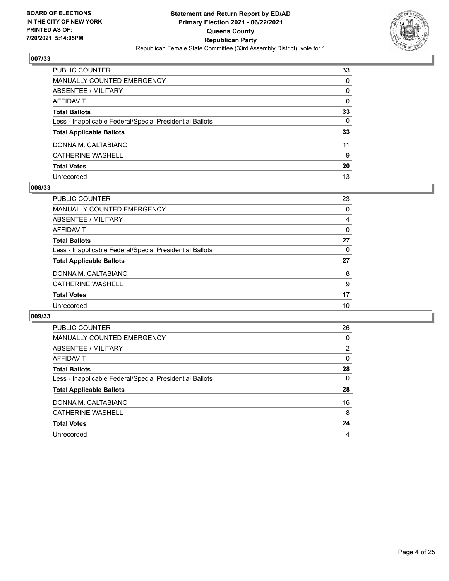

| PUBLIC COUNTER                                           | 33           |
|----------------------------------------------------------|--------------|
| <b>MANUALLY COUNTED EMERGENCY</b>                        | $\Omega$     |
| <b>ABSENTEE / MILITARY</b>                               | $\Omega$     |
| <b>AFFIDAVIT</b>                                         | $\mathbf{0}$ |
| <b>Total Ballots</b>                                     | 33           |
| Less - Inapplicable Federal/Special Presidential Ballots | 0            |
| <b>Total Applicable Ballots</b>                          | 33           |
| DONNA M. CALTABIANO                                      | 11           |
| <b>CATHERINE WASHELL</b>                                 | 9            |
| <b>Total Votes</b>                                       | 20           |
| Unrecorded                                               | 13           |

#### **008/33**

| PUBLIC COUNTER                                           | 23       |
|----------------------------------------------------------|----------|
| <b>MANUALLY COUNTED EMERGENCY</b>                        | 0        |
| ABSENTEE / MILITARY                                      | 4        |
| AFFIDAVIT                                                | $\Omega$ |
| <b>Total Ballots</b>                                     | 27       |
| Less - Inapplicable Federal/Special Presidential Ballots | $\Omega$ |
| <b>Total Applicable Ballots</b>                          | 27       |
| DONNA M. CALTABIANO                                      | 8        |
| <b>CATHERINE WASHELL</b>                                 | 9        |
| <b>Total Votes</b>                                       | 17       |
| Unrecorded                                               | 10       |
|                                                          |          |

| PUBLIC COUNTER                                           | 26 |
|----------------------------------------------------------|----|
| <b>MANUALLY COUNTED EMERGENCY</b>                        | 0  |
| ABSENTEE / MILITARY                                      | 2  |
| <b>AFFIDAVIT</b>                                         | 0  |
| <b>Total Ballots</b>                                     | 28 |
| Less - Inapplicable Federal/Special Presidential Ballots | 0  |
| <b>Total Applicable Ballots</b>                          | 28 |
| DONNA M. CALTABIANO                                      | 16 |
| <b>CATHERINE WASHELL</b>                                 | 8  |
| <b>Total Votes</b>                                       | 24 |
| Unrecorded                                               | 4  |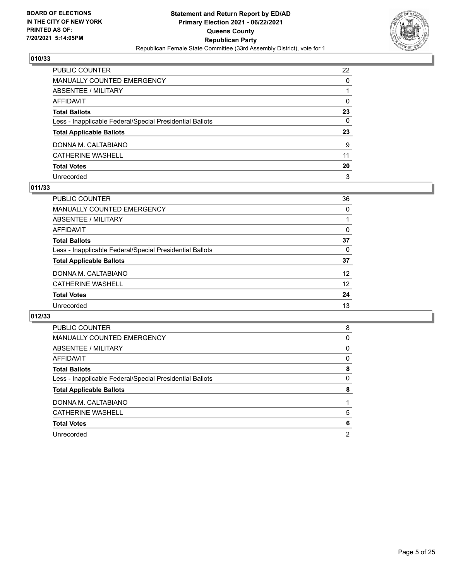

| PUBLIC COUNTER                                           | 22           |
|----------------------------------------------------------|--------------|
| <b>MANUALLY COUNTED EMERGENCY</b>                        | 0            |
| ABSENTEE / MILITARY                                      |              |
| <b>AFFIDAVIT</b>                                         | $\Omega$     |
| <b>Total Ballots</b>                                     | 23           |
| Less - Inapplicable Federal/Special Presidential Ballots | $\mathbf{0}$ |
| <b>Total Applicable Ballots</b>                          | 23           |
| DONNA M. CALTABIANO                                      | 9            |
| <b>CATHERINE WASHELL</b>                                 | 11           |
| <b>Total Votes</b>                                       | 20           |
| Unrecorded                                               | 3            |

#### **011/33**

| PUBLIC COUNTER                                           | 36       |
|----------------------------------------------------------|----------|
| <b>MANUALLY COUNTED EMERGENCY</b>                        | 0        |
| ABSENTEE / MILITARY                                      |          |
| AFFIDAVIT                                                | $\Omega$ |
| <b>Total Ballots</b>                                     | 37       |
| Less - Inapplicable Federal/Special Presidential Ballots | 0        |
| <b>Total Applicable Ballots</b>                          | 37       |
| DONNA M. CALTABIANO                                      | 12       |
| CATHERINE WASHELL                                        | 12       |
| <b>Total Votes</b>                                       | 24       |
| Unrecorded                                               | 13       |

| <b>PUBLIC COUNTER</b>                                    | 8 |
|----------------------------------------------------------|---|
|                                                          |   |
| <b>MANUALLY COUNTED EMERGENCY</b>                        | 0 |
| ABSENTEE / MILITARY                                      | 0 |
| AFFIDAVIT                                                | 0 |
| <b>Total Ballots</b>                                     | 8 |
| Less - Inapplicable Federal/Special Presidential Ballots | 0 |
|                                                          |   |
| <b>Total Applicable Ballots</b>                          | 8 |
| DONNA M. CALTABIANO                                      |   |
| <b>CATHERINE WASHELL</b>                                 | 5 |
| <b>Total Votes</b>                                       | 6 |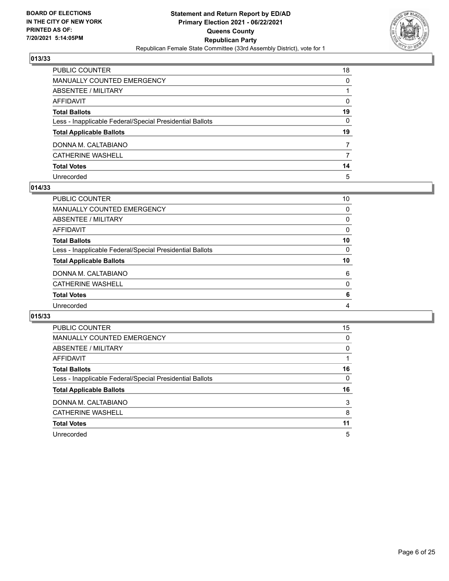

| PUBLIC COUNTER                                           | 18             |
|----------------------------------------------------------|----------------|
| <b>MANUALLY COUNTED EMERGENCY</b>                        | 0              |
| ABSENTEE / MILITARY                                      |                |
| <b>AFFIDAVIT</b>                                         | $\Omega$       |
| <b>Total Ballots</b>                                     | 19             |
| Less - Inapplicable Federal/Special Presidential Ballots | $\mathbf{0}$   |
| <b>Total Applicable Ballots</b>                          | 19             |
| DONNA M. CALTABIANO                                      | $\overline{7}$ |
| <b>CATHERINE WASHELL</b>                                 | 7              |
| <b>Total Votes</b>                                       | 14             |
| Unrecorded                                               | 5              |

#### **014/33**

| PUBLIC COUNTER                                           | 10       |
|----------------------------------------------------------|----------|
| MANUALLY COUNTED EMERGENCY                               | $\Omega$ |
| ABSENTEE / MILITARY                                      | $\Omega$ |
| AFFIDAVIT                                                | $\Omega$ |
| <b>Total Ballots</b>                                     | 10       |
| Less - Inapplicable Federal/Special Presidential Ballots | $\Omega$ |
| <b>Total Applicable Ballots</b>                          | 10       |
| DONNA M. CALTABIANO                                      | 6        |
| <b>CATHERINE WASHELL</b>                                 | $\Omega$ |
| <b>Total Votes</b>                                       | 6        |
| Unrecorded                                               | 4        |
|                                                          |          |

| PUBLIC COUNTER                                           | 15       |
|----------------------------------------------------------|----------|
| <b>MANUALLY COUNTED EMERGENCY</b>                        | 0        |
| ABSENTEE / MILITARY                                      | $\Omega$ |
| AFFIDAVIT                                                |          |
| <b>Total Ballots</b>                                     | 16       |
| Less - Inapplicable Federal/Special Presidential Ballots | $\Omega$ |
| <b>Total Applicable Ballots</b>                          | 16       |
| DONNA M. CALTABIANO                                      | 3        |
| <b>CATHERINE WASHELL</b>                                 | 8        |
| <b>Total Votes</b>                                       | 11       |
|                                                          |          |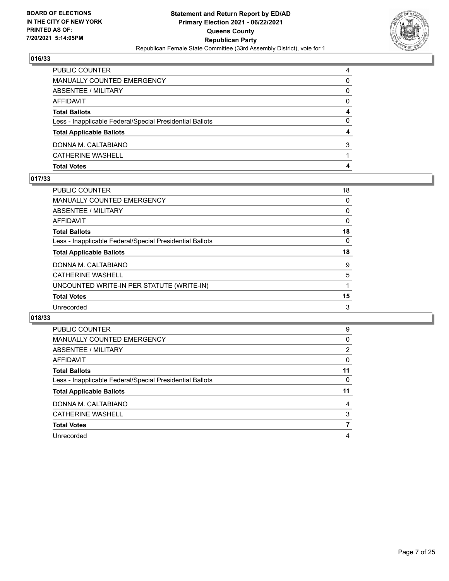

| <b>Total Votes</b>                                       | 4 |
|----------------------------------------------------------|---|
| <b>CATHERINE WASHELL</b>                                 |   |
| DONNA M. CALTABIANO                                      | 3 |
| <b>Total Applicable Ballots</b>                          | 4 |
| Less - Inapplicable Federal/Special Presidential Ballots | 0 |
| <b>Total Ballots</b>                                     | 4 |
| AFFIDAVIT                                                | 0 |
| ABSENTEE / MILITARY                                      | 0 |
| MANUALLY COUNTED EMERGENCY                               | 0 |
| PUBLIC COUNTER                                           | 4 |

#### **017/33**

| PUBLIC COUNTER                                           | 18 |
|----------------------------------------------------------|----|
| <b>MANUALLY COUNTED EMERGENCY</b>                        | 0  |
| <b>ABSENTEE / MILITARY</b>                               | 0  |
| <b>AFFIDAVIT</b>                                         | 0  |
| <b>Total Ballots</b>                                     | 18 |
| Less - Inapplicable Federal/Special Presidential Ballots | 0  |
| <b>Total Applicable Ballots</b>                          | 18 |
| DONNA M. CALTABIANO                                      | 9  |
| <b>CATHERINE WASHELL</b>                                 | 5  |
| UNCOUNTED WRITE-IN PER STATUTE (WRITE-IN)                | 1  |
| <b>Total Votes</b>                                       | 15 |
| Unrecorded                                               | 3  |

| <b>PUBLIC COUNTER</b>                                    | 9        |
|----------------------------------------------------------|----------|
| <b>MANUALLY COUNTED EMERGENCY</b>                        | $\Omega$ |
| <b>ABSENTEE / MILITARY</b>                               | 2        |
| <b>AFFIDAVIT</b>                                         | 0        |
| <b>Total Ballots</b>                                     | 11       |
| Less - Inapplicable Federal/Special Presidential Ballots | 0        |
| <b>Total Applicable Ballots</b>                          | 11       |
|                                                          |          |
| DONNA M. CALTABIANO                                      | 4        |
| <b>CATHERINE WASHELL</b>                                 | 3        |
| <b>Total Votes</b>                                       |          |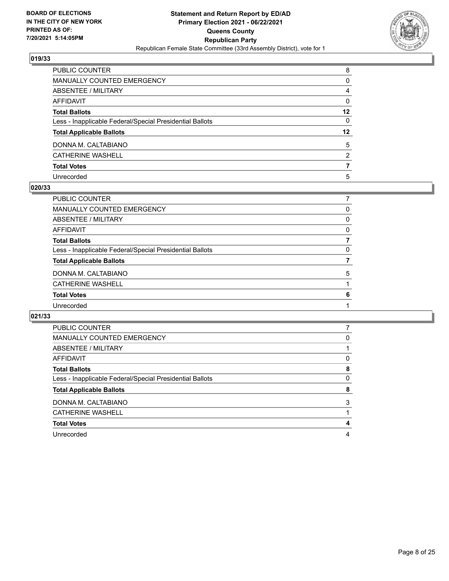

| PUBLIC COUNTER                                           | 8              |
|----------------------------------------------------------|----------------|
| <b>MANUALLY COUNTED EMERGENCY</b>                        | 0              |
| ABSENTEE / MILITARY                                      | 4              |
| <b>AFFIDAVIT</b>                                         | $\mathbf{0}$   |
| <b>Total Ballots</b>                                     | $12 \,$        |
| Less - Inapplicable Federal/Special Presidential Ballots | $\mathbf{0}$   |
| <b>Total Applicable Ballots</b>                          | 12             |
| DONNA M. CALTABIANO                                      | 5              |
| <b>CATHERINE WASHELL</b>                                 | $\overline{2}$ |
| <b>Total Votes</b>                                       |                |
| Unrecorded                                               | 5              |

#### **020/33**

| 0 |
|---|
| 0 |
| 0 |
| 7 |
| 0 |
|   |
| 5 |
|   |
| 6 |
|   |
|   |

| <b>PUBLIC COUNTER</b>                                    |   |
|----------------------------------------------------------|---|
| MANUALLY COUNTED EMERGENCY                               | 0 |
| ABSENTEE / MILITARY                                      |   |
| <b>AFFIDAVIT</b>                                         | 0 |
| <b>Total Ballots</b>                                     | 8 |
| Less - Inapplicable Federal/Special Presidential Ballots | 0 |
| <b>Total Applicable Ballots</b>                          | 8 |
| DONNA M. CALTABIANO                                      | 3 |
| <b>CATHERINE WASHELL</b>                                 |   |
|                                                          | 4 |
| <b>Total Votes</b>                                       |   |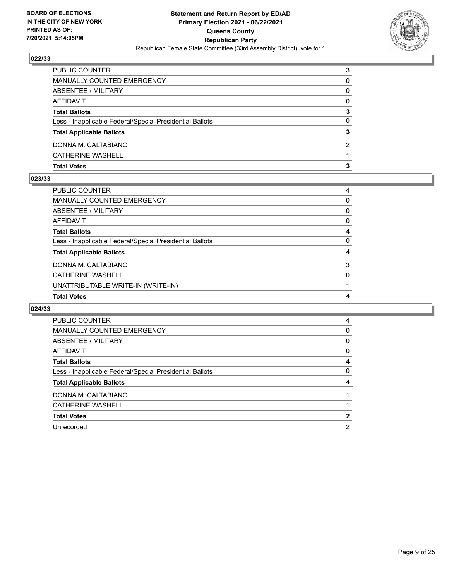

| <b>Total Votes</b>                                       |   |
|----------------------------------------------------------|---|
| <b>CATHERINE WASHELL</b>                                 |   |
| DONNA M. CALTABIANO                                      | 2 |
| <b>Total Applicable Ballots</b>                          | 3 |
| Less - Inapplicable Federal/Special Presidential Ballots | 0 |
| <b>Total Ballots</b>                                     | 3 |
| AFFIDAVIT                                                | 0 |
| <b>ABSENTEE / MILITARY</b>                               | 0 |
| MANUALLY COUNTED EMERGENCY                               | 0 |
| PUBLIC COUNTER                                           | 3 |

#### **023/33**

| PUBLIC COUNTER                                           | 4 |
|----------------------------------------------------------|---|
| <b>MANUALLY COUNTED EMERGENCY</b>                        | 0 |
| <b>ABSENTEE / MILITARY</b>                               | 0 |
| <b>AFFIDAVIT</b>                                         | 0 |
| <b>Total Ballots</b>                                     | 4 |
| Less - Inapplicable Federal/Special Presidential Ballots | 0 |
| <b>Total Applicable Ballots</b>                          | 4 |
| DONNA M. CALTABIANO                                      | 3 |
| <b>CATHERINE WASHELL</b>                                 | 0 |
| UNATTRIBUTABLE WRITE-IN (WRITE-IN)                       |   |
| <b>Total Votes</b>                                       | 4 |

| <b>PUBLIC COUNTER</b>                                    | 4        |
|----------------------------------------------------------|----------|
| <b>MANUALLY COUNTED EMERGENCY</b>                        | 0        |
| ABSENTEE / MILITARY                                      | $\Omega$ |
| <b>AFFIDAVIT</b>                                         | 0        |
| <b>Total Ballots</b>                                     | 4        |
| Less - Inapplicable Federal/Special Presidential Ballots | 0        |
| <b>Total Applicable Ballots</b>                          | 4        |
| DONNA M. CALTABIANO                                      |          |
| <b>CATHERINE WASHELL</b>                                 |          |
| <b>Total Votes</b>                                       | 2        |
| Unrecorded                                               | 2        |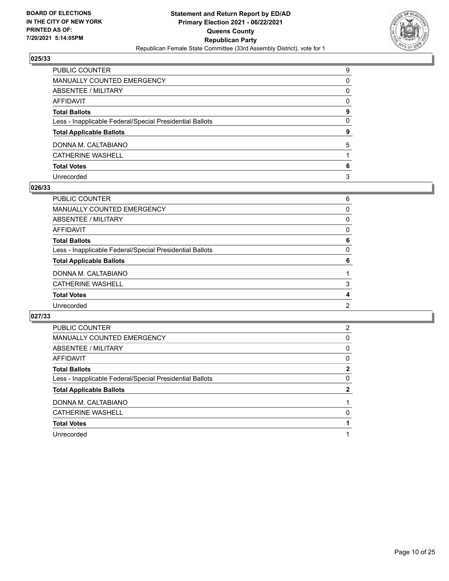

| PUBLIC COUNTER                                           | 9        |
|----------------------------------------------------------|----------|
| MANUALLY COUNTED EMERGENCY                               | 0        |
| ABSENTEE / MILITARY                                      | $\Omega$ |
| <b>AFFIDAVIT</b>                                         | $\Omega$ |
| <b>Total Ballots</b>                                     | 9        |
| Less - Inapplicable Federal/Special Presidential Ballots | $\Omega$ |
| <b>Total Applicable Ballots</b>                          | 9        |
| DONNA M. CALTABIANO                                      | 5        |
| <b>CATHERINE WASHELL</b>                                 |          |
| <b>Total Votes</b>                                       | 6        |
| Unrecorded                                               | 3        |

#### **026/33**

| PUBLIC COUNTER                                           | 6        |
|----------------------------------------------------------|----------|
| <b>MANUALLY COUNTED EMERGENCY</b>                        | $\Omega$ |
| <b>ABSENTEE / MILITARY</b>                               | 0        |
| <b>AFFIDAVIT</b>                                         | $\Omega$ |
| <b>Total Ballots</b>                                     | 6        |
| Less - Inapplicable Federal/Special Presidential Ballots | $\Omega$ |
| <b>Total Applicable Ballots</b>                          | 6        |
| DONNA M. CALTABIANO                                      |          |
| <b>CATHERINE WASHELL</b>                                 | 3        |
| <b>Total Votes</b>                                       | 4        |
| Unrecorded                                               | 2        |
|                                                          |          |

| PUBLIC COUNTER                                           | 2 |
|----------------------------------------------------------|---|
| <b>MANUALLY COUNTED EMERGENCY</b>                        | 0 |
| ABSENTEE / MILITARY                                      | 0 |
| <b>AFFIDAVIT</b>                                         | 0 |
| <b>Total Ballots</b>                                     | 2 |
| Less - Inapplicable Federal/Special Presidential Ballots | 0 |
| <b>Total Applicable Ballots</b>                          | 2 |
| DONNA M. CALTABIANO                                      |   |
| <b>CATHERINE WASHELL</b>                                 | 0 |
| <b>Total Votes</b>                                       |   |
|                                                          |   |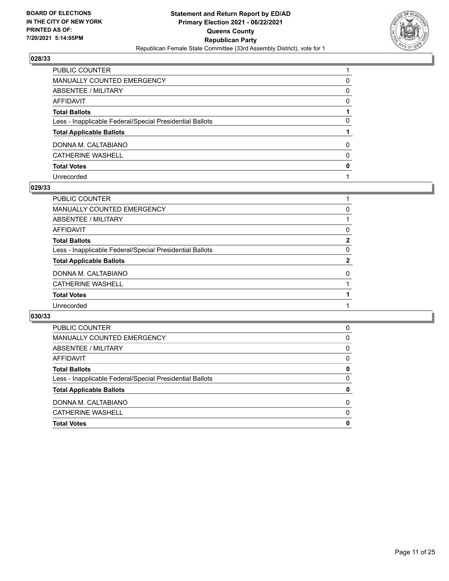

| PUBLIC COUNTER                                           |          |
|----------------------------------------------------------|----------|
| MANUALLY COUNTED EMERGENCY                               | 0        |
| <b>ABSENTEE / MILITARY</b>                               | $\Omega$ |
| <b>AFFIDAVIT</b>                                         | $\Omega$ |
| <b>Total Ballots</b>                                     |          |
| Less - Inapplicable Federal/Special Presidential Ballots | 0        |
| <b>Total Applicable Ballots</b>                          |          |
| DONNA M. CALTABIANO                                      | $\Omega$ |
| <b>CATHERINE WASHELL</b>                                 | $\Omega$ |
| <b>Total Votes</b>                                       | 0        |
| Unrecorded                                               |          |

#### **029/33**

| PUBLIC COUNTER                                           |              |
|----------------------------------------------------------|--------------|
| <b>MANUALLY COUNTED EMERGENCY</b>                        | 0            |
| ABSENTEE / MILITARY                                      |              |
| <b>AFFIDAVIT</b>                                         | 0            |
| <b>Total Ballots</b>                                     | $\mathbf{2}$ |
| Less - Inapplicable Federal/Special Presidential Ballots | 0            |
| <b>Total Applicable Ballots</b>                          | $\mathbf{2}$ |
| DONNA M. CALTABIANO                                      | $\Omega$     |
| <b>CATHERINE WASHELL</b>                                 |              |
| <b>Total Votes</b>                                       |              |
| Unrecorded                                               |              |
|                                                          |              |

| <b>PUBLIC COUNTER</b>                                    | 0        |
|----------------------------------------------------------|----------|
| MANUALLY COUNTED EMERGENCY                               | 0        |
| ABSENTEE / MILITARY                                      | 0        |
| AFFIDAVIT                                                | 0        |
| <b>Total Ballots</b>                                     | 0        |
| Less - Inapplicable Federal/Special Presidential Ballots | 0        |
| <b>Total Applicable Ballots</b>                          | 0        |
| DONNA M. CALTABIANO                                      | 0        |
| <b>CATHERINE WASHELL</b>                                 | $\Omega$ |
| <b>Total Votes</b>                                       | 0        |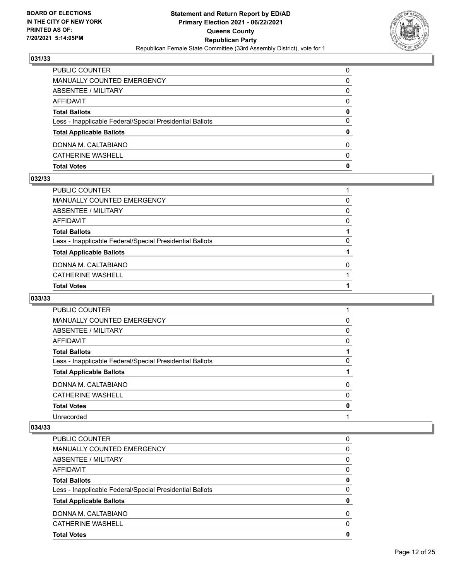

| MANUALLY COUNTED EMERGENCY<br>0<br><b>ABSENTEE / MILITARY</b><br>0<br>AFFIDAVIT<br>$\Omega$<br><b>Total Ballots</b><br>0<br>$\Omega$<br>Less - Inapplicable Federal/Special Presidential Ballots<br>0<br><b>Total Applicable Ballots</b><br>DONNA M. CALTABIANO<br>$\Omega$<br><b>CATHERINE WASHELL</b><br>$\Omega$<br>0<br><b>Total Votes</b> | PUBLIC COUNTER | $\Omega$ |
|------------------------------------------------------------------------------------------------------------------------------------------------------------------------------------------------------------------------------------------------------------------------------------------------------------------------------------------------|----------------|----------|
|                                                                                                                                                                                                                                                                                                                                                |                |          |
|                                                                                                                                                                                                                                                                                                                                                |                |          |
|                                                                                                                                                                                                                                                                                                                                                |                |          |
|                                                                                                                                                                                                                                                                                                                                                |                |          |
|                                                                                                                                                                                                                                                                                                                                                |                |          |
|                                                                                                                                                                                                                                                                                                                                                |                |          |
|                                                                                                                                                                                                                                                                                                                                                |                |          |
|                                                                                                                                                                                                                                                                                                                                                |                |          |
|                                                                                                                                                                                                                                                                                                                                                |                |          |

#### **032/33**

| PUBLIC COUNTER                                           |          |
|----------------------------------------------------------|----------|
| MANUALLY COUNTED EMERGENCY                               | 0        |
| ABSENTEE / MILITARY                                      | $\Omega$ |
| AFFIDAVIT                                                | $\Omega$ |
| Total Ballots                                            |          |
| Less - Inapplicable Federal/Special Presidential Ballots | $\Omega$ |
| <b>Total Applicable Ballots</b>                          |          |
| DONNA M. CALTABIANO                                      | $\Omega$ |
| CATHERINE WASHELL                                        |          |
| <b>Total Votes</b>                                       |          |
|                                                          |          |

## **033/33**

| PUBLIC COUNTER                                           |          |
|----------------------------------------------------------|----------|
| <b>MANUALLY COUNTED EMERGENCY</b>                        | 0        |
| ABSENTEE / MILITARY                                      | 0        |
| AFFIDAVIT                                                | 0        |
| <b>Total Ballots</b>                                     |          |
| Less - Inapplicable Federal/Special Presidential Ballots | 0        |
| <b>Total Applicable Ballots</b>                          |          |
| DONNA M. CALTABIANO                                      | 0        |
| <b>CATHERINE WASHELL</b>                                 | $\Omega$ |
| <b>Total Votes</b>                                       | 0        |
| Unrecorded                                               |          |
|                                                          |          |

| <b>PUBLIC COUNTER</b>                                    | 0        |
|----------------------------------------------------------|----------|
| MANUALLY COUNTED EMERGENCY                               | 0        |
| ABSENTEE / MILITARY                                      | 0        |
| AFFIDAVIT                                                | 0        |
| <b>Total Ballots</b>                                     | 0        |
| Less - Inapplicable Federal/Special Presidential Ballots | $\Omega$ |
| <b>Total Applicable Ballots</b>                          | 0        |
| DONNA M. CALTABIANO                                      | 0        |
| <b>CATHERINE WASHELL</b>                                 | 0        |
| <b>Total Votes</b>                                       | 0        |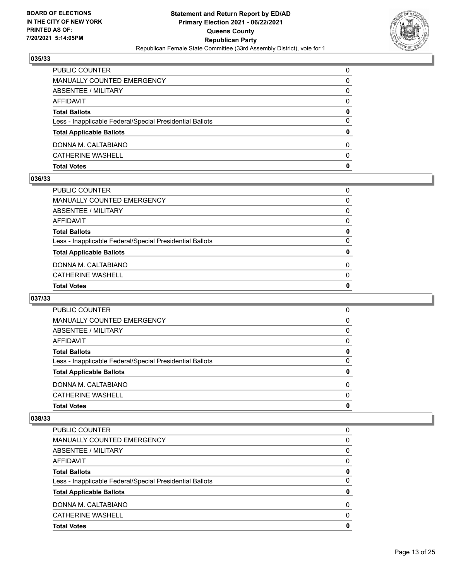

| <b>Total Votes</b>                                       | 0        |
|----------------------------------------------------------|----------|
| <b>CATHERINE WASHELL</b>                                 | $\Omega$ |
| DONNA M. CALTABIANO                                      | $\Omega$ |
| <b>Total Applicable Ballots</b>                          | 0        |
| Less - Inapplicable Federal/Special Presidential Ballots | $\Omega$ |
| <b>Total Ballots</b>                                     | 0        |
| AFFIDAVIT                                                | 0        |
| ABSENTEE / MILITARY                                      | $\Omega$ |
| MANUALLY COUNTED EMERGENCY                               | 0        |
| PUBLIC COUNTER                                           | $\Omega$ |

#### **036/33**

| <b>Total Votes</b>                                       | $\mathbf{0}$ |
|----------------------------------------------------------|--------------|
| CATHERINE WASHELL                                        | $\mathbf{0}$ |
| DONNA M. CALTABIANO                                      | $\Omega$     |
| <b>Total Applicable Ballots</b>                          | 0            |
| Less - Inapplicable Federal/Special Presidential Ballots | $\mathbf{0}$ |
| <b>Total Ballots</b>                                     | 0            |
| AFFIDAVIT                                                | $\mathbf{0}$ |
| ABSENTEE / MILITARY                                      | $\mathbf{0}$ |
| MANUALLY COUNTED EMERGENCY                               | $\Omega$     |
| PUBLIC COUNTER                                           | $\Omega$     |

## **037/33**

| <b>Total Votes</b>                                       | 0        |
|----------------------------------------------------------|----------|
| <b>CATHERINE WASHELL</b>                                 | $\Omega$ |
| DONNA M. CALTABIANO                                      | 0        |
| <b>Total Applicable Ballots</b>                          | 0        |
| Less - Inapplicable Federal/Special Presidential Ballots | $\Omega$ |
| <b>Total Ballots</b>                                     | 0        |
| AFFIDAVIT                                                | 0        |
| ABSENTEE / MILITARY                                      | 0        |
| <b>MANUALLY COUNTED EMERGENCY</b>                        | 0        |
| <b>PUBLIC COUNTER</b>                                    | 0        |

| <b>Total Votes</b>                                       | 0 |
|----------------------------------------------------------|---|
| <b>CATHERINE WASHELL</b>                                 | 0 |
| DONNA M. CALTABIANO                                      | 0 |
| <b>Total Applicable Ballots</b>                          | 0 |
| Less - Inapplicable Federal/Special Presidential Ballots | 0 |
| <b>Total Ballots</b>                                     | 0 |
| AFFIDAVIT                                                | 0 |
| ABSENTEE / MILITARY                                      | 0 |
| MANUALLY COUNTED EMERGENCY                               | 0 |
| PUBLIC COUNTER                                           | 0 |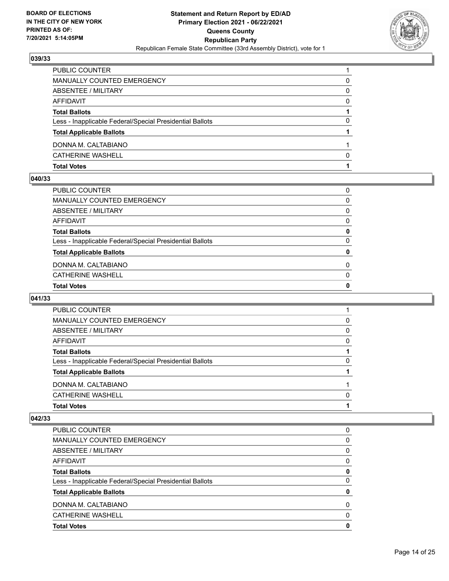

| <b>Total Votes</b>                                       |   |
|----------------------------------------------------------|---|
| <b>CATHERINE WASHELL</b>                                 | O |
| DONNA M. CALTABIANO                                      |   |
| <b>Total Applicable Ballots</b>                          |   |
| Less - Inapplicable Federal/Special Presidential Ballots | 0 |
| <b>Total Ballots</b>                                     |   |
| AFFIDAVIT                                                | 0 |
| ABSENTEE / MILITARY                                      | 0 |
| MANUALLY COUNTED EMERGENCY                               | 0 |
| PUBLIC COUNTER                                           |   |

#### **040/33**

| PUBLIC COUNTER                                           | 0            |
|----------------------------------------------------------|--------------|
| MANUALLY COUNTED EMERGENCY                               | $\Omega$     |
| ABSENTEE / MILITARY                                      | $\Omega$     |
| AFFIDAVIT                                                | $\Omega$     |
| <b>Total Ballots</b>                                     | 0            |
| Less - Inapplicable Federal/Special Presidential Ballots | $\mathbf{0}$ |
| <b>Total Applicable Ballots</b>                          | 0            |
| DONNA M. CALTABIANO                                      | 0            |
| CATHERINE WASHELL                                        | $\Omega$     |
| <b>Total Votes</b>                                       | 0            |
|                                                          |              |

## **041/33**

| <b>Total Votes</b>                                       |          |
|----------------------------------------------------------|----------|
| CATHERINE WASHELL                                        | 0        |
| DONNA M. CALTABIANO                                      |          |
| <b>Total Applicable Ballots</b>                          |          |
| Less - Inapplicable Federal/Special Presidential Ballots | $\Omega$ |
| <b>Total Ballots</b>                                     |          |
| AFFIDAVIT                                                | $\Omega$ |
| ABSENTEE / MILITARY                                      | 0        |
| MANUALLY COUNTED EMERGENCY                               | 0        |
| <b>PUBLIC COUNTER</b>                                    |          |

| <b>PUBLIC COUNTER</b>                                    | O |
|----------------------------------------------------------|---|
| <b>MANUALLY COUNTED EMERGENCY</b>                        | 0 |
| ABSENTEE / MILITARY                                      | 0 |
| AFFIDAVIT                                                | 0 |
| <b>Total Ballots</b>                                     | 0 |
| Less - Inapplicable Federal/Special Presidential Ballots | 0 |
| <b>Total Applicable Ballots</b>                          | 0 |
| DONNA M. CALTABIANO                                      | 0 |
| <b>CATHERINE WASHELL</b>                                 | 0 |
| <b>Total Votes</b>                                       | O |
|                                                          |   |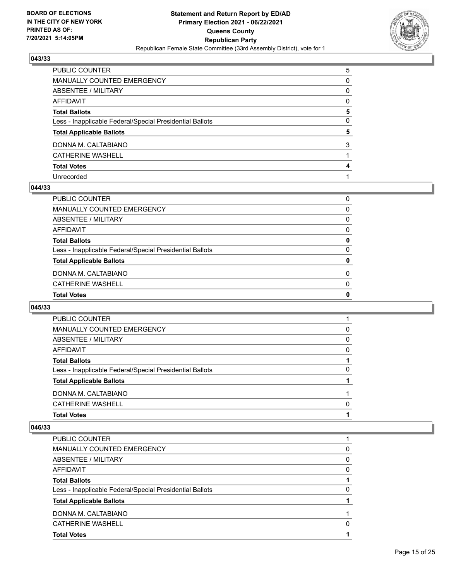

| PUBLIC COUNTER                                           | 5            |
|----------------------------------------------------------|--------------|
| MANUALLY COUNTED EMERGENCY                               | $\Omega$     |
| ABSENTEE / MILITARY                                      | 0            |
| AFFIDAVIT                                                | $\Omega$     |
| Total Ballots                                            | 5            |
| Less - Inapplicable Federal/Special Presidential Ballots | $\mathbf{0}$ |
| <b>Total Applicable Ballots</b>                          | 5            |
| DONNA M. CALTABIANO                                      | 3            |
| CATHERINE WASHELL                                        |              |
| <b>Total Votes</b>                                       | 4            |
| Unrecorded                                               |              |

#### **044/33**

| <b>Total Votes</b>                                       | 0        |
|----------------------------------------------------------|----------|
| <b>CATHERINE WASHELL</b>                                 | $\Omega$ |
| DONNA M. CALTABIANO                                      | $\Omega$ |
| <b>Total Applicable Ballots</b>                          | 0        |
| Less - Inapplicable Federal/Special Presidential Ballots | $\Omega$ |
| <b>Total Ballots</b>                                     | 0        |
| AFFIDAVIT                                                | 0        |
| ABSENTEE / MILITARY                                      | 0        |
| MANUALLY COUNTED EMERGENCY                               | 0        |
| PUBLIC COUNTER                                           | 0        |

## **045/33**

| <b>PUBLIC COUNTER</b>                                    |              |
|----------------------------------------------------------|--------------|
| MANUALLY COUNTED EMERGENCY                               | 0            |
| ABSENTEE / MILITARY                                      | 0            |
| AFFIDAVIT                                                | 0            |
| <b>Total Ballots</b>                                     |              |
| Less - Inapplicable Federal/Special Presidential Ballots | 0            |
| <b>Total Applicable Ballots</b>                          |              |
| DONNA M. CALTABIANO                                      |              |
| CATHERINE WASHELL                                        | <sup>0</sup> |
| <b>Total Votes</b>                                       |              |

| <b>PUBLIC COUNTER</b>                                    |              |
|----------------------------------------------------------|--------------|
| MANUALLY COUNTED EMERGENCY                               | 0            |
| <b>ABSENTEE / MILITARY</b>                               | 0            |
| AFFIDAVIT                                                | 0            |
| <b>Total Ballots</b>                                     |              |
| Less - Inapplicable Federal/Special Presidential Ballots | 0            |
| <b>Total Applicable Ballots</b>                          |              |
| DONNA M. CALTABIANO                                      |              |
| <b>CATHERINE WASHELL</b>                                 | <sup>0</sup> |
| <b>Total Votes</b>                                       |              |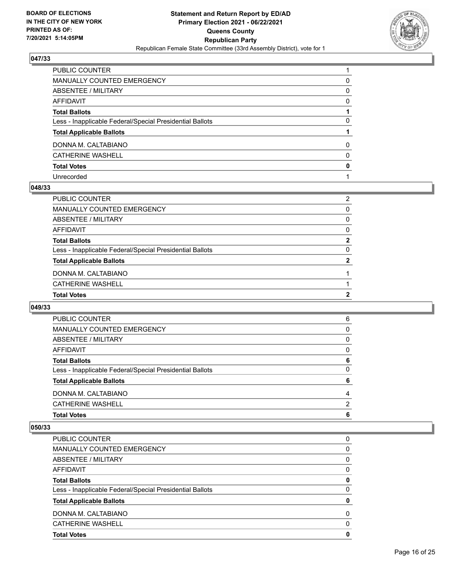

| PUBLIC COUNTER                                           |          |
|----------------------------------------------------------|----------|
| <b>MANUALLY COUNTED EMERGENCY</b>                        | 0        |
| ABSENTEE / MILITARY                                      | $\Omega$ |
| <b>AFFIDAVIT</b>                                         | $\Omega$ |
| <b>Total Ballots</b>                                     |          |
| Less - Inapplicable Federal/Special Presidential Ballots | 0        |
| <b>Total Applicable Ballots</b>                          |          |
| DONNA M. CALTABIANO                                      | $\Omega$ |
| <b>CATHERINE WASHELL</b>                                 | $\Omega$ |
| <b>Total Votes</b>                                       | 0        |
| Unrecorded                                               |          |

#### **048/33**

| <b>Total Votes</b>                                       | 2              |
|----------------------------------------------------------|----------------|
| <b>CATHERINE WASHELL</b>                                 |                |
| DONNA M. CALTABIANO                                      |                |
| <b>Total Applicable Ballots</b>                          | 2              |
| Less - Inapplicable Federal/Special Presidential Ballots | $\Omega$       |
| <b>Total Ballots</b>                                     | 2              |
| AFFIDAVIT                                                | 0              |
| ABSENTEE / MILITARY                                      | 0              |
| MANUALLY COUNTED EMERGENCY                               | 0              |
| PUBLIC COUNTER                                           | $\overline{2}$ |

## **049/33**

| <b>PUBLIC COUNTER</b>                                    | 6            |
|----------------------------------------------------------|--------------|
| MANUALLY COUNTED EMERGENCY                               | 0            |
| ABSENTEE / MILITARY                                      | $\mathbf{0}$ |
| AFFIDAVIT                                                | $\Omega$     |
| <b>Total Ballots</b>                                     | 6            |
| Less - Inapplicable Federal/Special Presidential Ballots | 0            |
| <b>Total Applicable Ballots</b>                          | 6            |
| DONNA M. CALTABIANO                                      | 4            |
| CATHERINE WASHELL                                        | 2            |
| <b>Total Votes</b>                                       | 6            |

| <b>PUBLIC COUNTER</b>                                    | 0        |
|----------------------------------------------------------|----------|
| <b>MANUALLY COUNTED EMERGENCY</b>                        | 0        |
| ABSENTEE / MILITARY                                      | 0        |
| AFFIDAVIT                                                | 0        |
| <b>Total Ballots</b>                                     | 0        |
| Less - Inapplicable Federal/Special Presidential Ballots | 0        |
| <b>Total Applicable Ballots</b>                          | 0        |
| DONNA M. CALTABIANO                                      | $\Omega$ |
| <b>CATHERINE WASHELL</b>                                 | 0        |
| <b>Total Votes</b>                                       | 0        |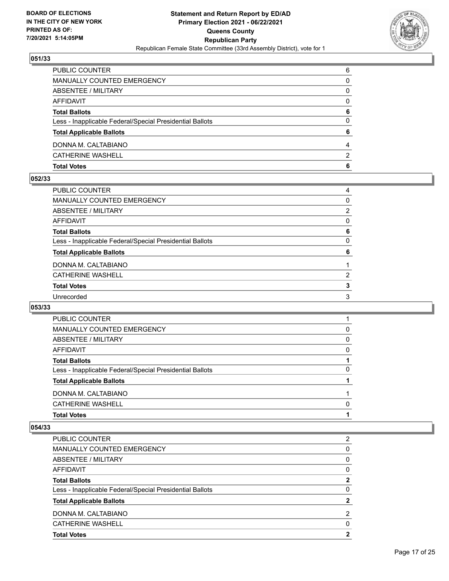

| <b>Total Votes</b>                                       | 6             |
|----------------------------------------------------------|---------------|
| <b>CATHERINE WASHELL</b>                                 | $\mathcal{P}$ |
| DONNA M. CALTABIANO                                      | 4             |
| <b>Total Applicable Ballots</b>                          | 6             |
| Less - Inapplicable Federal/Special Presidential Ballots | 0             |
| <b>Total Ballots</b>                                     | 6             |
| AFFIDAVIT                                                | $\Omega$      |
| ABSENTEE / MILITARY                                      | 0             |
| MANUALLY COUNTED EMERGENCY                               | 0             |
| PUBLIC COUNTER                                           | 6             |

#### **052/33**

| PUBLIC COUNTER                                           | 4              |
|----------------------------------------------------------|----------------|
| MANUALLY COUNTED EMERGENCY                               | 0              |
| ABSENTEE / MILITARY                                      | $\overline{2}$ |
| AFFIDAVIT                                                | 0              |
| <b>Total Ballots</b>                                     | 6              |
| Less - Inapplicable Federal/Special Presidential Ballots | $\Omega$       |
| <b>Total Applicable Ballots</b>                          | 6              |
| DONNA M. CALTABIANO                                      |                |
|                                                          |                |
| CATHERINE WASHELL                                        | $\overline{2}$ |
| <b>Total Votes</b>                                       | 3              |
| Unrecorded                                               | 3              |

## **053/33**

| <b>PUBLIC COUNTER</b>                                    |              |
|----------------------------------------------------------|--------------|
| MANUALLY COUNTED EMERGENCY                               | 0            |
| ABSENTEE / MILITARY                                      | 0            |
| AFFIDAVIT                                                | 0            |
| <b>Total Ballots</b>                                     |              |
| Less - Inapplicable Federal/Special Presidential Ballots | 0            |
| <b>Total Applicable Ballots</b>                          |              |
| DONNA M. CALTABIANO                                      |              |
| CATHERINE WASHELL                                        | <sup>0</sup> |
| <b>Total Votes</b>                                       |              |

| <b>Total Votes</b>                                       | $\mathbf{2}$ |
|----------------------------------------------------------|--------------|
| <b>CATHERINE WASHELL</b>                                 | 0            |
| DONNA M. CALTABIANO                                      | 2            |
| <b>Total Applicable Ballots</b>                          |              |
| Less - Inapplicable Federal/Special Presidential Ballots | 0            |
| <b>Total Ballots</b>                                     | 2            |
| AFFIDAVIT                                                | 0            |
| ABSENTEE / MILITARY                                      | 0            |
| <b>MANUALLY COUNTED EMERGENCY</b>                        | 0            |
| <b>PUBLIC COUNTER</b>                                    | 2            |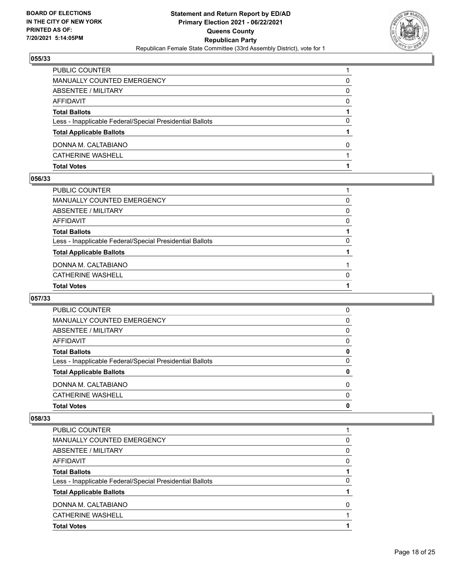

| PUBLIC COUNTER                                           |   |
|----------------------------------------------------------|---|
| MANUALLY COUNTED EMERGENCY                               | 0 |
| <b>ABSENTEE / MILITARY</b>                               | 0 |
| AFFIDAVIT                                                | 0 |
| <b>Total Ballots</b>                                     |   |
| Less - Inapplicable Federal/Special Presidential Ballots | 0 |
| <b>Total Applicable Ballots</b>                          |   |
| DONNA M. CALTABIANO                                      | 0 |
| <b>CATHERINE WASHELL</b>                                 |   |
| <b>Total Votes</b>                                       |   |

#### **056/33**

| PUBLIC COUNTER                                           |          |
|----------------------------------------------------------|----------|
| MANUALLY COUNTED EMERGENCY                               | 0        |
| ABSENTEE / MILITARY                                      | $\Omega$ |
| AFFIDAVIT                                                | $\Omega$ |
| Total Ballots                                            |          |
| Less - Inapplicable Federal/Special Presidential Ballots | $\Omega$ |
| <b>Total Applicable Ballots</b>                          |          |
| DONNA M. CALTABIANO                                      |          |
| CATHERINE WASHELL                                        | $\Omega$ |
| <b>Total Votes</b>                                       |          |
|                                                          |          |

## **057/33**

| <b>Total Votes</b>                                       | 0        |
|----------------------------------------------------------|----------|
| CATHERINE WASHELL                                        | $\Omega$ |
| DONNA M. CALTABIANO                                      | $\Omega$ |
| <b>Total Applicable Ballots</b>                          | 0        |
| Less - Inapplicable Federal/Special Presidential Ballots | 0        |
| <b>Total Ballots</b>                                     | 0        |
| AFFIDAVIT                                                | 0        |
| ABSENTEE / MILITARY                                      | 0        |
| <b>MANUALLY COUNTED EMERGENCY</b>                        | 0        |
| <b>PUBLIC COUNTER</b>                                    | 0        |

| PUBLIC COUNTER                                           |              |
|----------------------------------------------------------|--------------|
| <b>MANUALLY COUNTED EMERGENCY</b>                        | 0            |
| ABSENTEE / MILITARY                                      | 0            |
| AFFIDAVIT                                                | 0            |
| <b>Total Ballots</b>                                     |              |
| Less - Inapplicable Federal/Special Presidential Ballots | 0            |
| <b>Total Applicable Ballots</b>                          |              |
| DONNA M. CALTABIANO                                      | <sup>0</sup> |
| <b>CATHERINE WASHELL</b>                                 |              |
| <b>Total Votes</b>                                       |              |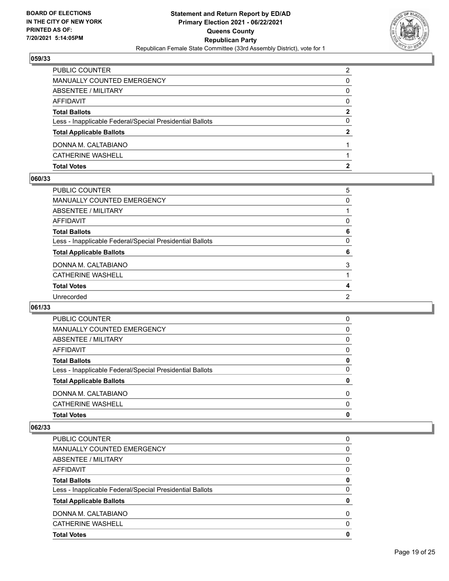

| <b>Total Votes</b>                                       |               |
|----------------------------------------------------------|---------------|
| <b>CATHERINE WASHELL</b>                                 |               |
| DONNA M. CALTABIANO                                      |               |
| <b>Total Applicable Ballots</b>                          | 2             |
| Less - Inapplicable Federal/Special Presidential Ballots | 0             |
| <b>Total Ballots</b>                                     | 2             |
| AFFIDAVIT                                                | $\Omega$      |
| ABSENTEE / MILITARY                                      | 0             |
| MANUALLY COUNTED EMERGENCY                               | 0             |
| PUBLIC COUNTER                                           | $\mathcal{P}$ |

#### **060/33**

| PUBLIC COUNTER                                           | 5 |
|----------------------------------------------------------|---|
| MANUALLY COUNTED EMERGENCY                               | 0 |
| ABSENTEE / MILITARY                                      |   |
| AFFIDAVIT                                                | 0 |
| <b>Total Ballots</b>                                     | 6 |
| Less - Inapplicable Federal/Special Presidential Ballots | 0 |
| <b>Total Applicable Ballots</b>                          | 6 |
| DONNA M. CALTABIANO                                      | 3 |
| <b>CATHERINE WASHELL</b>                                 |   |
| <b>Total Votes</b>                                       | 4 |
|                                                          |   |
| Unrecorded                                               | 2 |

## **061/33**

| 0        |
|----------|
| 0        |
| 0        |
| 0        |
| 0        |
| 0        |
| 0        |
| 0        |
| $\Omega$ |
| 0        |
|          |

| PUBLIC COUNTER                                           | 0        |
|----------------------------------------------------------|----------|
| <b>MANUALLY COUNTED EMERGENCY</b>                        | 0        |
| ABSENTEE / MILITARY                                      | 0        |
| AFFIDAVIT                                                | 0        |
| <b>Total Ballots</b>                                     | 0        |
| Less - Inapplicable Federal/Special Presidential Ballots | $\Omega$ |
| <b>Total Applicable Ballots</b>                          | 0        |
| DONNA M. CALTABIANO                                      | 0        |
| <b>CATHERINE WASHELL</b>                                 | 0        |
| <b>Total Votes</b>                                       | 0        |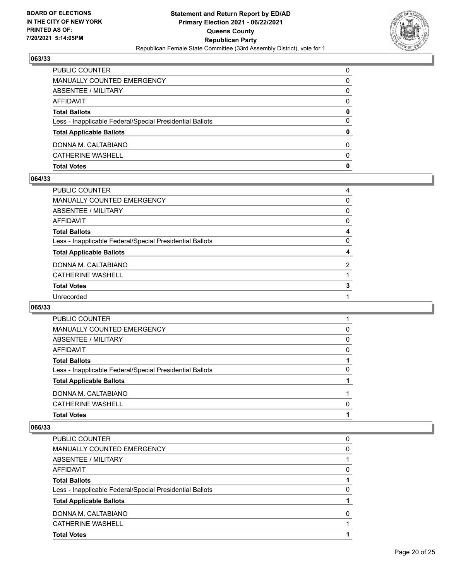

| <b>Total Votes</b>                                       | 0            |
|----------------------------------------------------------|--------------|
| <b>CATHERINE WASHELL</b>                                 | <sup>0</sup> |
| DONNA M. CALTABIANO                                      | 0            |
| <b>Total Applicable Ballots</b>                          | 0            |
| Less - Inapplicable Federal/Special Presidential Ballots | $\Omega$     |
| <b>Total Ballots</b>                                     | 0            |
| <b>AFFIDAVIT</b>                                         | $\Omega$     |
| ABSENTEE / MILITARY                                      | 0            |
| MANUALLY COUNTED EMERGENCY                               | 0            |
| <b>PUBLIC COUNTER</b>                                    | $\Omega$     |

#### **064/33**

| PUBLIC COUNTER                                           | 4              |
|----------------------------------------------------------|----------------|
| MANUALLY COUNTED EMERGENCY                               | 0              |
| ABSENTEE / MILITARY                                      | 0              |
| AFFIDAVIT                                                | 0              |
| <b>Total Ballots</b>                                     | 4              |
| Less - Inapplicable Federal/Special Presidential Ballots | $\Omega$       |
| <b>Total Applicable Ballots</b>                          | 4              |
| DONNA M. CALTABIANO                                      | $\overline{2}$ |
| CATHERINE WASHELL                                        |                |
| <b>Total Votes</b>                                       | 3              |
| Unrecorded                                               |                |
|                                                          |                |

## **065/33**

| <b>PUBLIC COUNTER</b>                                    |              |
|----------------------------------------------------------|--------------|
| MANUALLY COUNTED EMERGENCY                               | 0            |
| ABSENTEE / MILITARY                                      | 0            |
| AFFIDAVIT                                                | 0            |
| <b>Total Ballots</b>                                     |              |
| Less - Inapplicable Federal/Special Presidential Ballots | 0            |
| <b>Total Applicable Ballots</b>                          |              |
| DONNA M. CALTABIANO                                      |              |
| <b>CATHERINE WASHELL</b>                                 | <sup>0</sup> |
| <b>Total Votes</b>                                       |              |

| PUBLIC COUNTER                                           | 0 |
|----------------------------------------------------------|---|
|                                                          |   |
| <b>MANUALLY COUNTED EMERGENCY</b>                        | 0 |
| ABSENTEE / MILITARY                                      |   |
| AFFIDAVIT                                                | 0 |
| <b>Total Ballots</b>                                     |   |
| Less - Inapplicable Federal/Special Presidential Ballots | O |
| <b>Total Applicable Ballots</b>                          |   |
| DONNA M. CALTABIANO                                      | O |
| <b>CATHERINE WASHELL</b>                                 |   |
| <b>Total Votes</b>                                       |   |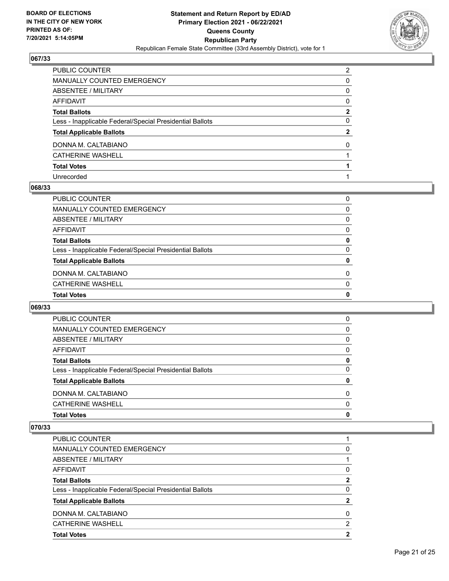

| PUBLIC COUNTER                                           | $\mathcal{P}$ |
|----------------------------------------------------------|---------------|
| MANUALLY COUNTED EMERGENCY                               | 0             |
| ABSENTEE / MILITARY                                      | $\Omega$      |
| <b>AFFIDAVIT</b>                                         | $\Omega$      |
| <b>Total Ballots</b>                                     | $\mathbf{2}$  |
| Less - Inapplicable Federal/Special Presidential Ballots | $\Omega$      |
| <b>Total Applicable Ballots</b>                          | $\mathbf{2}$  |
| DONNA M. CALTABIANO                                      | $\Omega$      |
| <b>CATHERINE WASHELL</b>                                 |               |
| <b>Total Votes</b>                                       |               |
| Unrecorded                                               |               |

#### **068/33**

| <b>Total Votes</b>                                       | 0        |
|----------------------------------------------------------|----------|
| <b>CATHERINE WASHELL</b>                                 | $\Omega$ |
| DONNA M. CALTABIANO                                      | $\Omega$ |
| <b>Total Applicable Ballots</b>                          | 0        |
| Less - Inapplicable Federal/Special Presidential Ballots | $\Omega$ |
| <b>Total Ballots</b>                                     | 0        |
| AFFIDAVIT                                                | 0        |
| ABSENTEE / MILITARY                                      | 0        |
| MANUALLY COUNTED EMERGENCY                               | 0        |
| PUBLIC COUNTER                                           | 0        |

## **069/33**

| <b>PUBLIC COUNTER</b>                                    | 0           |
|----------------------------------------------------------|-------------|
| MANUALLY COUNTED EMERGENCY                               | 0           |
| ABSENTEE / MILITARY                                      | 0           |
| AFFIDAVIT                                                | $\Omega$    |
| <b>Total Ballots</b>                                     | 0           |
| Less - Inapplicable Federal/Special Presidential Ballots | $\Omega$    |
| <b>Total Applicable Ballots</b>                          | 0           |
| DONNA M. CALTABIANO                                      | 0           |
| CATHERINE WASHELL                                        | $\Omega$    |
| <b>Total Votes</b>                                       | $\mathbf 0$ |

| <b>Total Votes</b>                                       | 2 |
|----------------------------------------------------------|---|
| <b>CATHERINE WASHELL</b>                                 | 2 |
| DONNA M. CALTABIANO                                      | 0 |
| <b>Total Applicable Ballots</b>                          |   |
| Less - Inapplicable Federal/Special Presidential Ballots | 0 |
| <b>Total Ballots</b>                                     | 2 |
| AFFIDAVIT                                                | 0 |
| ABSENTEE / MILITARY                                      |   |
| <b>MANUALLY COUNTED EMERGENCY</b>                        | 0 |
| PUBLIC COUNTER                                           |   |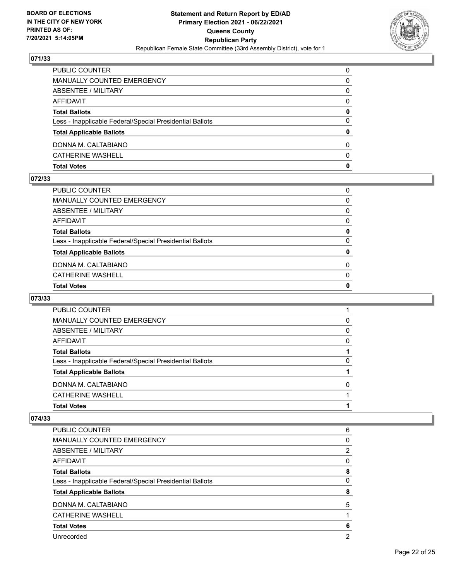

| MANUALLY COUNTED EMERGENCY<br>0<br><b>ABSENTEE / MILITARY</b><br>0<br>AFFIDAVIT<br>$\Omega$<br><b>Total Ballots</b><br>0<br>$\Omega$<br>Less - Inapplicable Federal/Special Presidential Ballots<br>0<br><b>Total Applicable Ballots</b><br>DONNA M. CALTABIANO<br>$\Omega$<br><b>CATHERINE WASHELL</b><br>$\Omega$<br>0<br><b>Total Votes</b> | PUBLIC COUNTER | $\Omega$ |
|------------------------------------------------------------------------------------------------------------------------------------------------------------------------------------------------------------------------------------------------------------------------------------------------------------------------------------------------|----------------|----------|
|                                                                                                                                                                                                                                                                                                                                                |                |          |
|                                                                                                                                                                                                                                                                                                                                                |                |          |
|                                                                                                                                                                                                                                                                                                                                                |                |          |
|                                                                                                                                                                                                                                                                                                                                                |                |          |
|                                                                                                                                                                                                                                                                                                                                                |                |          |
|                                                                                                                                                                                                                                                                                                                                                |                |          |
|                                                                                                                                                                                                                                                                                                                                                |                |          |
|                                                                                                                                                                                                                                                                                                                                                |                |          |
|                                                                                                                                                                                                                                                                                                                                                |                |          |

#### **072/33**

| PUBLIC COUNTER                                           | $\Omega$     |
|----------------------------------------------------------|--------------|
| MANUALLY COUNTED EMERGENCY                               | 0            |
| ABSENTEE / MILITARY                                      | $\Omega$     |
| AFFIDAVIT                                                | $\Omega$     |
| <b>Total Ballots</b>                                     | 0            |
| Less - Inapplicable Federal/Special Presidential Ballots | $\mathbf{0}$ |
| <b>Total Applicable Ballots</b>                          | 0            |
| DONNA M. CALTABIANO                                      | $\Omega$     |
| CATHERINE WASHELL                                        | $\mathbf{0}$ |
| <b>Total Votes</b>                                       | 0            |
|                                                          |              |

## **073/33**

| <b>Total Votes</b>                                       |              |
|----------------------------------------------------------|--------------|
| CATHERINE WASHELL                                        |              |
| DONNA M. CALTABIANO                                      | <sup>0</sup> |
| <b>Total Applicable Ballots</b>                          |              |
| Less - Inapplicable Federal/Special Presidential Ballots | 0            |
| <b>Total Ballots</b>                                     |              |
| AFFIDAVIT                                                | 0            |
| ABSENTEE / MILITARY                                      | 0            |
| <b>MANUALLY COUNTED EMERGENCY</b>                        | 0            |
| <b>PUBLIC COUNTER</b>                                    |              |

| PUBLIC COUNTER                                           | 6 |
|----------------------------------------------------------|---|
| <b>MANUALLY COUNTED EMERGENCY</b>                        | 0 |
| ABSENTEE / MILITARY                                      | 2 |
| <b>AFFIDAVIT</b>                                         | 0 |
| <b>Total Ballots</b>                                     | 8 |
| Less - Inapplicable Federal/Special Presidential Ballots | 0 |
| <b>Total Applicable Ballots</b>                          | 8 |
| DONNA M. CALTABIANO                                      | 5 |
| <b>CATHERINE WASHELL</b>                                 |   |
| <b>Total Votes</b>                                       | 6 |
| Unrecorded                                               | 2 |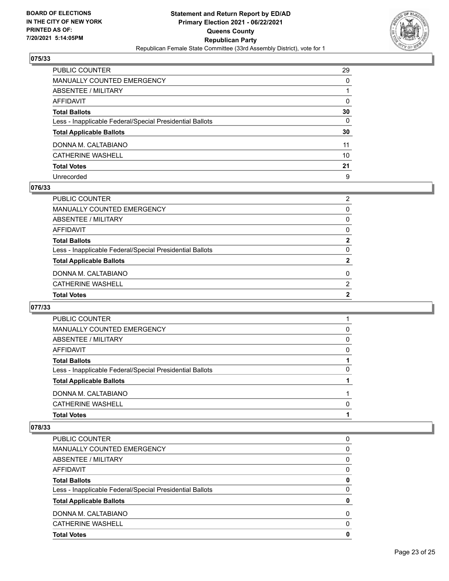

| PUBLIC COUNTER                                           | 29           |
|----------------------------------------------------------|--------------|
| <b>MANUALLY COUNTED EMERGENCY</b>                        | $\mathbf{0}$ |
| <b>ABSENTEE / MILITARY</b>                               |              |
| <b>AFFIDAVIT</b>                                         | $\Omega$     |
| <b>Total Ballots</b>                                     | 30           |
| Less - Inapplicable Federal/Special Presidential Ballots | $\mathbf{0}$ |
| <b>Total Applicable Ballots</b>                          | 30           |
| DONNA M. CALTABIANO                                      | 11           |
| <b>CATHERINE WASHELL</b>                                 | 10           |
| <b>Total Votes</b>                                       | 21           |
| Unrecorded                                               | 9            |

#### **076/33**

| <b>Total Votes</b>                                       | 2              |
|----------------------------------------------------------|----------------|
| CATHERINE WASHELL                                        | $\overline{2}$ |
| DONNA M. CALTABIANO                                      | $\Omega$       |
| <b>Total Applicable Ballots</b>                          | $\mathbf{2}$   |
| Less - Inapplicable Federal/Special Presidential Ballots | 0              |
| <b>Total Ballots</b>                                     | 2              |
| AFFIDAVIT                                                | 0              |
| ABSENTEE / MILITARY                                      | 0              |
| MANUALLY COUNTED EMERGENCY                               | 0              |
| PUBLIC COUNTER                                           | $\overline{2}$ |

## **077/33**

| <b>PUBLIC COUNTER</b>                                    |              |
|----------------------------------------------------------|--------------|
| MANUALLY COUNTED EMERGENCY                               | 0            |
| ABSENTEE / MILITARY                                      | 0            |
| AFFIDAVIT                                                | 0            |
| <b>Total Ballots</b>                                     |              |
| Less - Inapplicable Federal/Special Presidential Ballots | 0            |
| <b>Total Applicable Ballots</b>                          |              |
| DONNA M. CALTABIANO                                      |              |
| CATHERINE WASHELL                                        | <sup>0</sup> |
| <b>Total Votes</b>                                       |              |

| <b>PUBLIC COUNTER</b>                                    | 0        |
|----------------------------------------------------------|----------|
| <b>MANUALLY COUNTED EMERGENCY</b>                        | 0        |
| ABSENTEE / MILITARY                                      | 0        |
| AFFIDAVIT                                                | 0        |
| <b>Total Ballots</b>                                     | 0        |
| Less - Inapplicable Federal/Special Presidential Ballots | 0        |
| <b>Total Applicable Ballots</b>                          | 0        |
| DONNA M. CALTABIANO                                      | $\Omega$ |
| <b>CATHERINE WASHELL</b>                                 | 0        |
| <b>Total Votes</b>                                       | 0        |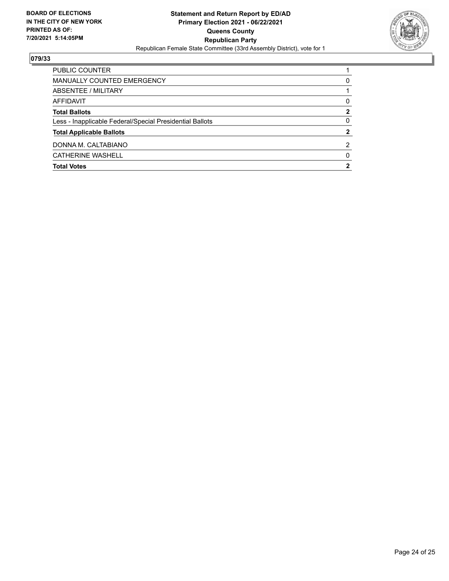

| <b>Total Votes</b>                                       | 2            |
|----------------------------------------------------------|--------------|
| CATHERINE WASHELL                                        | 0            |
| DONNA M. CALTABIANO                                      | 2            |
| <b>Total Applicable Ballots</b>                          | $\mathbf{2}$ |
| Less - Inapplicable Federal/Special Presidential Ballots | 0            |
| <b>Total Ballots</b>                                     | 2            |
| AFFIDAVIT                                                | 0            |
| ABSENTEE / MILITARY                                      |              |
| MANUALLY COUNTED EMERGENCY                               | 0            |
| PUBLIC COUNTER                                           |              |